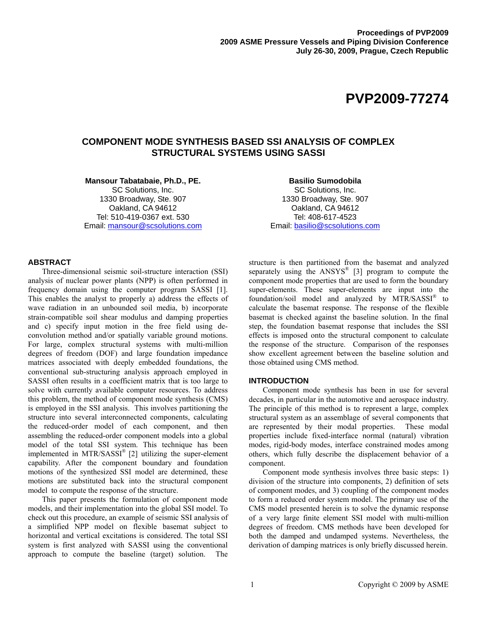# **COMPONENT MODE SYNTHESIS BASED SSI ANALYSIS OF COMPLEX STRUCTURAL SYSTEMS USING SASSI**

**Mansour Tabatabaie, Ph.D., PE.** 

SC Solutions, Inc. 1330 Broadway, Ste. 907 Oakland, CA 94612 Tel: 510-419-0367 ext. 530 Email: mansour@scsolutions.com

# **Basilio Sumodobila**  SC Solutions, Inc. 1330 Broadway, Ste. 907 Oakland, CA 94612 Tel: 408-617-4523 Email: basilio@scsolutions.com

# **ABSTRACT**

Three-dimensional seismic soil-structure interaction (SSI) analysis of nuclear power plants (NPP) is often performed in frequency domain using the computer program SASSI [1]. This enables the analyst to properly a) address the effects of wave radiation in an unbounded soil media, b) incorporate strain-compatible soil shear modulus and damping properties and c) specify input motion in the free field using deconvolution method and/or spatially variable ground motions. For large, complex structural systems with multi-million degrees of freedom (DOF) and large foundation impedance matrices associated with deeply embedded foundations, the conventional sub-structuring analysis approach employed in SASSI often results in a coefficient matrix that is too large to solve with currently available computer resources. To address this problem, the method of component mode synthesis (CMS) is employed in the SSI analysis. This involves partitioning the structure into several interconnected components, calculating the reduced-order model of each component, and then assembling the reduced-order component models into a global model of the total SSI system. This technique has been implemented in MTR/SASSI® [2] utilizing the super-element capability. After the component boundary and foundation motions of the synthesized SSI model are determined, these motions are substituted back into the structural component model to compute the response of the structure.

This paper presents the formulation of component mode models, and their implementation into the global SSI model. To check out this procedure, an example of seismic SSI analysis of a simplified NPP model on flexible basemat subject to horizontal and vertical excitations is considered. The total SSI system is first analyzed with SASSI using the conventional approach to compute the baseline (target) solution. The

structure is then partitioned from the basemat and analyzed separately using the ANSYS® [3] program to compute the component mode properties that are used to form the boundary super-elements. These super-elements are input into the foundation/soil model and analyzed by  $MTR/SASSI^{\circledast}$  to calculate the basemat response. The response of the flexible basemat is checked against the baseline solution. In the final step, the foundation basemat response that includes the SSI effects is imposed onto the structural component to calculate the response of the structure. Comparison of the responses show excellent agreement between the baseline solution and those obtained using CMS method.

# **INTRODUCTION**

Component mode synthesis has been in use for several decades, in particular in the automotive and aerospace industry. The principle of this method is to represent a large, complex structural system as an assemblage of several components that are represented by their modal properties. These modal properties include fixed-interface normal (natural) vibration modes, rigid-body modes, interface constrained modes among others, which fully describe the displacement behavior of a component.

Component mode synthesis involves three basic steps: 1) division of the structure into components, 2) definition of sets of component modes, and 3) coupling of the component modes to form a reduced order system model. The primary use of the CMS model presented herein is to solve the dynamic response of a very large finite element SSI model with multi-million degrees of freedom. CMS methods have been developed for both the damped and undamped systems. Nevertheless, the derivation of damping matrices is only briefly discussed herein.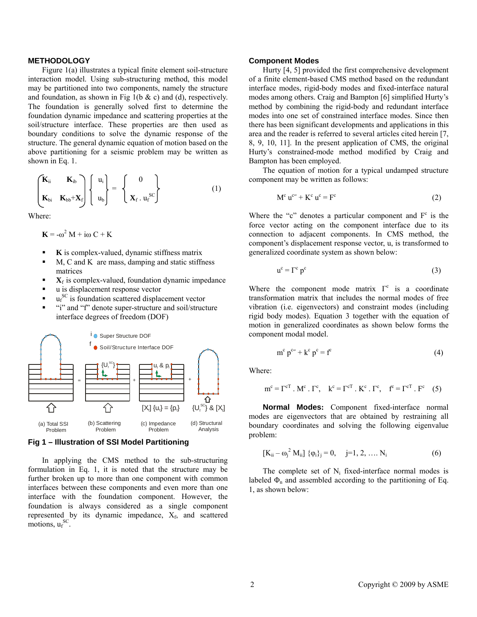### **METHODOLOGY**

Figure 1(a) illustrates a typical finite element soil-structure interaction model. Using sub-structuring method, this model may be partitioned into two components, namely the structure and foundation, as shown in Fig 1(b  $\&$  c) and (d), respectively. The foundation is generally solved first to determine the foundation dynamic impedance and scattering properties at the soil/structure interface. These properties are then used as boundary conditions to solve the dynamic response of the structure. The general dynamic equation of motion based on the above partitioning for a seismic problem may be written as shown in Eq. 1.

$$
\begin{pmatrix} \mathbf{K}_{ii} & \mathbf{K}_{ib} \\ \mathbf{K}_{bi} & \mathbf{K}_{bb} + \mathbf{X}_f \end{pmatrix} \begin{pmatrix} u_i \\ u_b \end{pmatrix} = \begin{pmatrix} 0 \\ \mathbf{X}_f \cdot u_f^{SC} \end{pmatrix}
$$
 (1)

Where:

 $\mathbf{K} = -\omega^2 \mathbf{M} + i\omega \mathbf{C} + \mathbf{K}$ 

- **K** is complex-valued, dynamic stiffness matrix
- M, C and K are mass, damping and static stiffness matrices
- $\mathbf{X}_f$  is complex-valued, foundation dynamic impedance
- u is displacement response vector
- $\bullet$  u<sub>f</sub><sup>SC</sup> is foundation scattered displacement vector
- "i" and "f" denote super-structure and soil/structure interface degrees of freedom (DOF)





In applying the CMS method to the sub-structuring formulation in Eq. 1, it is noted that the structure may be further broken up to more than one component with common interfaces between these components and even more than one interface with the foundation component. However, the foundation is always considered as a single component represented by its dynamic impedance,  $X_f$ , and scattered motions,  $u_f^{\text{SC}}$ .

#### **Component Modes**

Hurty [4, 5] provided the first comprehensive development of a finite element-based CMS method based on the redundant interface modes, rigid-body modes and fixed-interface natural modes among others. Craig and Bampton [6] simplified Hurty's method by combining the rigid-body and redundant interface modes into one set of constrained interface modes. Since then there has been significant developments and applications in this area and the reader is referred to several articles cited herein [7, 8, 9, 10, 11]. In the present application of CMS, the original Hurty's constrained-mode method modified by Craig and Bampton has been employed.

The equation of motion for a typical undamped structure component may be written as follows:

$$
M^{c} u^{c} + K^{c} u^{c} = F^{c}
$$
 (2)

Where the "c" denotes a particular component and  $F<sup>c</sup>$  is the force vector acting on the component interface due to its connection to adjacent components. In CMS method, the component's displacement response vector, u, is transformed to generalized coordinate system as shown below:

$$
u^{c} = \Gamma^{c} p^{c}
$$
 (3)

Where the component mode matrix  $\Gamma^c$  is a coordinate transformation matrix that includes the normal modes of free vibration (i.e. eigenvectors) and constraint modes (including rigid body modes). Equation 3 together with the equation of motion in generalized coordinates as shown below forms the component modal model.

$$
m^{c} p^{c} + k^{c} p^{c} = f^{c}
$$
 (4)

Where:

$$
\mathbf{m}^{\mathbf{c}} = \Gamma^{\mathbf{c}\mathbf{T}} \cdot \mathbf{M}^{\mathbf{c}} \cdot \Gamma^{\mathbf{c}}, \quad \mathbf{k}^{\mathbf{c}} = \Gamma^{\mathbf{c}\mathbf{T}} \cdot \mathbf{K}^{\mathbf{c}} \cdot \Gamma^{\mathbf{c}}, \quad \mathbf{f}^{\mathbf{c}} = \Gamma^{\mathbf{c}\mathbf{T}} \cdot \mathbf{F}^{\mathbf{c}} \quad (5)
$$

**Normal Modes:** Component fixed-interface normal modes are eigenvectors that are obtained by restraining all boundary coordinates and solving the following eigenvalue problem:

$$
[K_{ii} - \omega_j^2 M_{ii}] \{ \varphi_i \}_j = 0, \quad j = 1, 2, \dots N_i
$$
 (6)

The complete set of  $N_i$  fixed-interface normal modes is labeled  $\Phi_n$  and assembled according to the partitioning of Eq. 1, as shown below: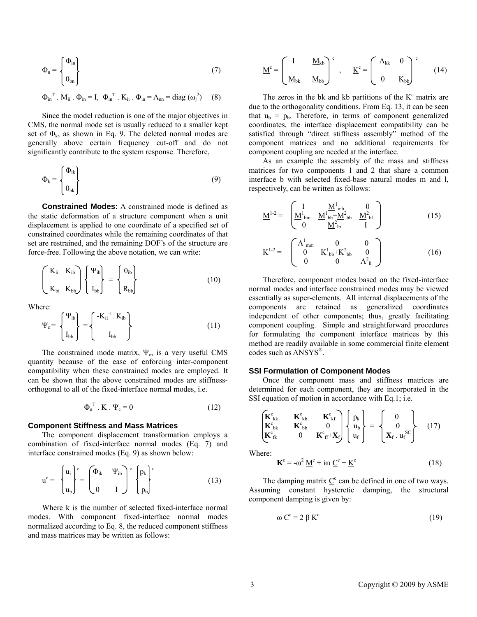$$
\Phi_{\rm n} = \begin{Bmatrix} \Phi_{\rm in} \\ 0_{\rm bn} \end{Bmatrix} \tag{7}
$$

$$
\boldsymbol{\Phi}_{in}^{\mathrm{T}}. M_{ii} . \ \boldsymbol{\Phi}_{in} = I, \ \boldsymbol{\Phi}_{in}^{\mathrm{T}}. K_{ii} . \ \boldsymbol{\Phi}_{in} = \boldsymbol{\Lambda}_{nn} = diag(\omega_j^2) \hspace{0.5cm} (8)
$$

Since the model reduction is one of the major objectives in CMS, the normal mode set is usually reduced to a smaller kept set of  $\Phi_k$ , as shown in Eq. 9. The deleted normal modes are generally above certain frequency cut-off and do not significantly contribute to the system response. Therefore,

$$
\Phi_{k} = \begin{Bmatrix} \Phi_{ik} \\ 0_{bk} \end{Bmatrix}
$$
 (9)

**Constrained Modes:** A constrained mode is defined as the static deformation of a structure component when a unit displacement is applied to one coordinate of a specified set of constrained coordinates while the remaining coordinates of that set are restrained, and the remaining DOF's of the structure are force-free. Following the above notation, we can write:

$$
\begin{pmatrix} K_{ii} & K_{ib} \ K_{bi} & K_{bb} \end{pmatrix} \begin{Bmatrix} \Psi_{ib} \\ I_{bb} \end{Bmatrix} = \begin{Bmatrix} 0_{ib} \\ R_{bb} \end{Bmatrix}
$$
 (10)

Where:

$$
\Psi_{c} = \begin{Bmatrix} \Psi_{ib} \\ I_{bb} \end{Bmatrix} = \begin{Bmatrix} -K_{ii}^{-1} & K_{ib} \\ I_{bb} \end{Bmatrix}
$$
 (11)

The constrained mode matrix,  $\Psi_c$ , is a very useful CMS quantity because of the ease of enforcing inter-component compatibility when these constrained modes are employed. It can be shown that the above constrained modes are stiffnessorthogonal to all of the fixed-interface normal modes, i.e.

$$
\Phi_n^{\mathrm{T}} \cdot \mathbf{K} \cdot \Psi_c = 0 \tag{12}
$$

#### **Component Stiffness and Mass Matrices**

The component displacement transformation employs a combination of fixed-interface normal modes (Eq. 7) and interface constrained modes (Eq. 9) as shown below:

$$
u^{c} = \begin{cases} u_{i} \\ u_{b} \end{cases}^{c} = \begin{pmatrix} \Phi_{ik} & \Psi_{ib} \\ 0 & I \end{pmatrix}^{c} \begin{cases} p_{k} \\ p_{b} \end{cases}^{c}
$$
(13)

Where k is the number of selected fixed-interface normal modes. With component fixed-interface normal modes normalized according to Eq. 8, the reduced component stiffness and mass matrices may be written as follows:

$$
\underline{M}^{c} = \begin{pmatrix} I & \underline{M}_{kb} \\ \underline{M}_{bk} & \underline{M}_{bb} \end{pmatrix}^{c} , \quad \underline{K}^{c} = \begin{pmatrix} \Lambda_{kk} & 0 \\ 0 & \underline{K}_{bb} \end{pmatrix}^{c} \tag{14}
$$

The zeros in the bk and kb partitions of the  $K^c$  matrix are due to the orthogonality conditions. From Eq. 13, it can be seen that  $u_b = p_b$ . Therefore, in terms of component generalized coordinates, the interface displacement compatibility can be satisfied through "direct stiffness assembly" method of the component matrices and no additional requirements for component coupling are needed at the interface.

As an example the assembly of the mass and stiffness matrices for two components 1 and 2 that share a common interface b with selected fixed-base natural modes m and l, respectively, can be written as follows:

$$
\underline{M}^{1-2} = \begin{bmatrix} I & \underline{M}^{1}_{\text{bb}} & 0 \\ \underline{M}^{1}_{\text{bm}} & \underline{M}^{1}_{\text{bb}} + \underline{M}^{2}_{\text{bb}} & \underline{M}^{2}_{\text{bl}} \\ 0 & \underline{M}^{2}_{\text{lb}} & I \end{bmatrix}
$$
(15)

$$
\underline{K}^{1-2} = \begin{bmatrix} \Lambda_{mm}^1 & 0 & 0\\ 0 & \underline{K}_{bb}^1 + \underline{K}_{bb}^2 & 0\\ 0 & 0 & \Lambda_{11}^2 \end{bmatrix}
$$
 (16)

Therefore, component modes based on the fixed-interface normal modes and interface constrained modes may be viewed essentially as super-elements. All internal displacements of the components are retained as generalized coordinates independent of other components; thus, greatly facilitating component coupling. Simple and straightforward procedures for formulating the component interface matrices by this method are readily available in some commercial finite element codes such as ANSYS®.

#### **SSI Formulation of Component Modes**

Once the component mass and stiffness matrices are determined for each component, they are incorporated in the SSI equation of motion in accordance with Eq.1; i.e.

$$
\begin{bmatrix}\n\mathbf{K}^{\mathrm{c}}{}_{kk} & \mathbf{K}^{\mathrm{c}}{}_{kb} & \mathbf{K}^{\mathrm{c}}{}_{kf} \\
\mathbf{K}^{\mathrm{c}}{}_{bk} & \mathbf{K}^{\mathrm{c}}{}_{bb} & 0 & \mathbf{K}^{\mathrm{c}}{}_{if} + \mathbf{X}_{f}\n\end{bmatrix}\n\begin{bmatrix}\np_k \\
u_b \\
u_f\n\end{bmatrix} = \n\begin{bmatrix}\n0 \\
0 \\
\mathbf{X}_{f} \cdot u_f^{\mathrm{SC}}\n\end{bmatrix} \n\tag{17}
$$

 $2.12 - 1.12$ 

 $\sim$ 

Where:

$$
\mathbf{K}^{\text{c}} = -\omega^2 \, \underline{\mathbf{M}}^{\text{c}} + \text{i}\omega \, \underline{\mathbf{C}}^{\text{c}} + \underline{\mathbf{K}}^{\text{c}} \tag{18}
$$

The damping matrix  $\underline{C}^c$  can be defined in one of two ways. Assuming constant hysteretic damping, the structural component damping is given by:

$$
\omega \underline{C}^c = 2 \beta \underline{K}^c \tag{19}
$$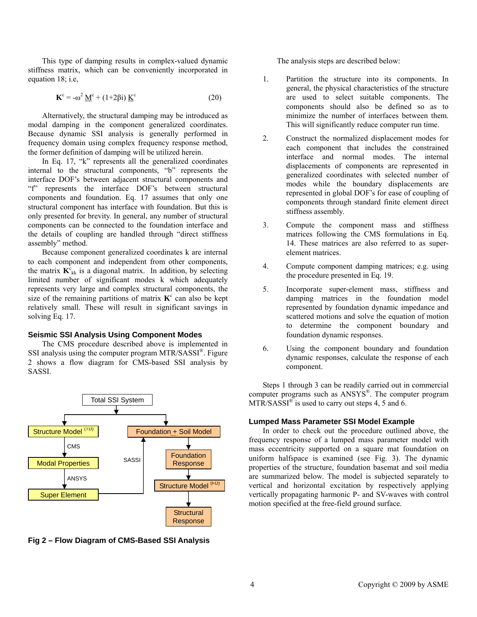This type of damping results in complex-valued dynamic stiffness matrix, which can be conveniently incorporated in equation 18; i.e,

$$
\mathbf{K}^{\text{c}} = -\omega^2 \, \underline{\mathbf{M}}^{\text{c}} + (1 + 2\beta \mathbf{i}) \, \underline{\mathbf{K}}^{\text{c}} \tag{20}
$$

Alternatively, the structural damping may be introduced as modal damping in the component generalized coordinates. Because dynamic SSI analysis is generally performed in frequency domain using complex frequency response method, the former definition of damping will be utilized herein.

In Eq. 17, "k" represents all the generalized coordinates internal to the structural components, "b" represents the interface DOF's between adjacent structural components and "f" represents the interface DOF's between structural components and foundation. Eq. 17 assumes that only one structural component has interface with foundation. But this is only presented for brevity. In general, any number of structural components can be connected to the foundation interface and the details of coupling are handled through "direct stiffness assembly" method.

Because component generalized coordinates k are internal to each component and independent from other components, the matrix  $K_{kk}^c$  is a diagonal matrix. In addition, by selecting limited number of significant modes k which adequately represents very large and complex structural components, the size of the remaining partitions of matrix  $K^c$  can also be kept relatively small. These will result in significant savings in solving Eq. 17.

### **Seismic SSI Analysis Using Component Modes**

The CMS procedure described above is implemented in SSI analysis using the computer program MTR/SASSI®. Figure 2 shows a flow diagram for CMS-based SSI analysis by SASSI.



**Fig 2 – Flow Diagram of CMS-Based SSI Analysis** 

The analysis steps are described below:

- 1. Partition the structure into its components. In general, the physical characteristics of the structure are used to select suitable components. The components should also be defined so as to minimize the number of interfaces between them. This will significantly reduce computer run time.
- 2. Construct the normalized displacement modes for each component that includes the constrained interface and normal modes. The internal displacements of components are represented in generalized coordinates with selected number of modes while the boundary displacements are represented in global DOF's for ease of coupling of components through standard finite element direct stiffness assembly.
- 3. Compute the component mass and stiffness matrices following the CMS formulations in Eq. 14. These matrices are also referred to as superelement matrices.
- 4. Compute component damping matrices; e.g. using the procedure presented in Eq. 19.
- 5. Incorporate super-element mass, stiffness and damping matrices in the foundation model represented by foundation dynamic impedance and scattered motions and solve the equation of motion to determine the component boundary and foundation dynamic responses.
- 6. Using the component boundary and foundation dynamic responses, calculate the response of each component.

Steps 1 through 3 can be readily carried out in commercial computer programs such as ANSYS®. The computer program  $MTR/SASSI<sup>®</sup>$  is used to carry out steps 4, 5 and 6.

### **Lumped Mass Parameter SSI Model Example**

In order to check out the procedure outlined above, the frequency response of a lumped mass parameter model with mass eccentricity supported on a square mat foundation on uniform halfspace is examined (see Fig. 3). The dynamic properties of the structure, foundation basemat and soil media are summarized below. The model is subjected separately to vertical and horizontal excitation by respectively applying vertically propagating harmonic P- and SV-waves with control motion specified at the free-field ground surface.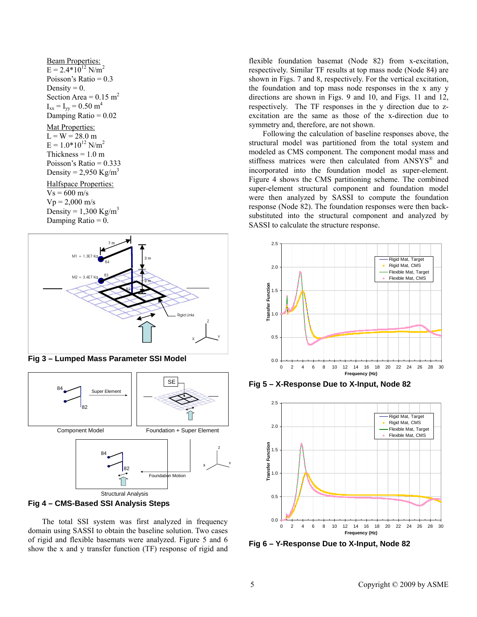Beam Properties:  $E = 2.4*10^{12}$  N/m<sup>2</sup> Poisson's Ratio  $= 0.3$ Density  $= 0$ . Section Area =  $0.15$  m<sup>2</sup>  $I_{xx} = I_{yy} = 0.50$  m<sup>4</sup> Damping Ratio  $= 0.02$ 

#### Mat Properties:

 $L = W = 28.0$  m  $E = 1.0*10^{12}$  N/m<sup>2</sup> Thickness  $= 1.0$  m Poisson's Ratio = 0.333 Density =  $2,950$  Kg/m<sup>3</sup> Halfspace Properties:  $Vs = 600$  m/s  $Vp = 2,000$  m/s Density =  $1,300$  Kg/m<sup>3</sup> Damping Ratio  $= 0$ .



**Fig 3 – Lumped Mass Parameter SSI Model** 





The total SSI system was first analyzed in frequency domain using SASSI to obtain the baseline solution. Two cases of rigid and flexible basemats were analyzed. Figure 5 and 6 show the x and y transfer function (TF) response of rigid and flexible foundation basemat (Node 82) from x-excitation, respectively. Similar TF results at top mass node (Node 84) are shown in Figs. 7 and 8, respectively. For the vertical excitation, the foundation and top mass node responses in the x any y directions are shown in Figs. 9 and 10, and Figs. 11 and 12, respectively. The TF responses in the y direction due to zexcitation are the same as those of the x-direction due to symmetry and, therefore, are not shown.

Following the calculation of baseline responses above, the structural model was partitioned from the total system and modeled as CMS component. The component modal mass and stiffness matrices were then calculated from ANSYS<sup>®</sup> and incorporated into the foundation model as super-element. Figure 4 shows the CMS partitioning scheme. The combined super-element structural component and foundation model were then analyzed by SASSI to compute the foundation response (Node 82). The foundation responses were then backsubstituted into the structural component and analyzed by SASSI to calculate the structure response.



**Fig 5 – X-Response Due to X-Input, Node 82** 



**Fig 6 – Y-Response Due to X-Input, Node 82**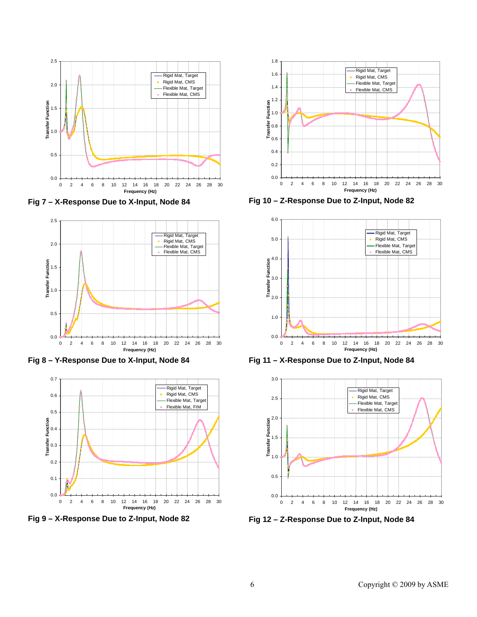

**Fig 7 – X-Response Due to X-Input, Node 84** 



**Fig 8 – Y-Response Due to X-Input, Node 84** 



**Fig 9 – X-Response Due to Z-Input, Node 82** 



**Fig 10 – Z-Response Due to Z-Input, Node 82** 



**Fig 11 – X-Response Due to Z-Input, Node 84** 



**Fig 12 – Z-Response Due to Z-Input, Node 84**